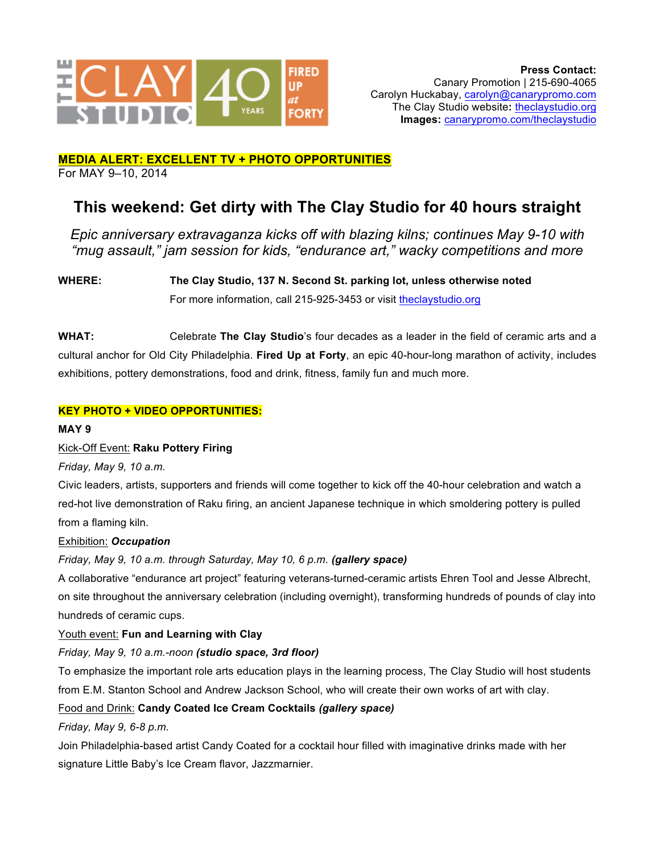

#### **MEDIA ALERT: EXCELLENT TV + PHOTO OPPORTUNITIES** For MAY 9–10, 2014

# **This weekend: Get dirty with The Clay Studio for 40 hours straight**

*Epic anniversary extravaganza kicks off with blazing kilns; continues May 9-10 with "mug assault," jam session for kids, "endurance art," wacky competitions and more*

**WHERE: The Clay Studio, 137 N. Second St. parking lot, unless otherwise noted** For more information, call 215-925-3453 or visit theclaystudio.org

**WHAT:** Celebrate **The Clay Studio**'s four decades as a leader in the field of ceramic arts and a cultural anchor for Old City Philadelphia. **Fired Up at Forty**, an epic 40-hour-long marathon of activity, includes exhibitions, pottery demonstrations, food and drink, fitness, family fun and much more.

# **KEY PHOTO + VIDEO OPPORTUNITIES:**

**MAY 9**

## Kick-Off Event: **Raku Pottery Firing**

*Friday, May 9, 10 a.m.*

Civic leaders, artists, supporters and friends will come together to kick off the 40-hour celebration and watch a red-hot live demonstration of Raku firing, an ancient Japanese technique in which smoldering pottery is pulled from a flaming kiln.

## Exhibition: *Occupation*

*Friday, May 9, 10 a.m. through Saturday, May 10, 6 p.m. (gallery space)*

A collaborative "endurance art project" featuring veterans-turned-ceramic artists Ehren Tool and Jesse Albrecht, on site throughout the anniversary celebration (including overnight), transforming hundreds of pounds of clay into hundreds of ceramic cups.

## Youth event: **Fun and Learning with Clay**

## *Friday, May 9, 10 a.m.-noon (studio space, 3rd floor)*

To emphasize the important role arts education plays in the learning process, The Clay Studio will host students from E.M. Stanton School and Andrew Jackson School, who will create their own works of art with clay.

# Food and Drink: **Candy Coated Ice Cream Cocktails** *(gallery space)*

*Friday, May 9, 6-8 p.m.*

Join Philadelphia-based artist Candy Coated for a cocktail hour filled with imaginative drinks made with her signature Little Baby's Ice Cream flavor, Jazzmarnier.